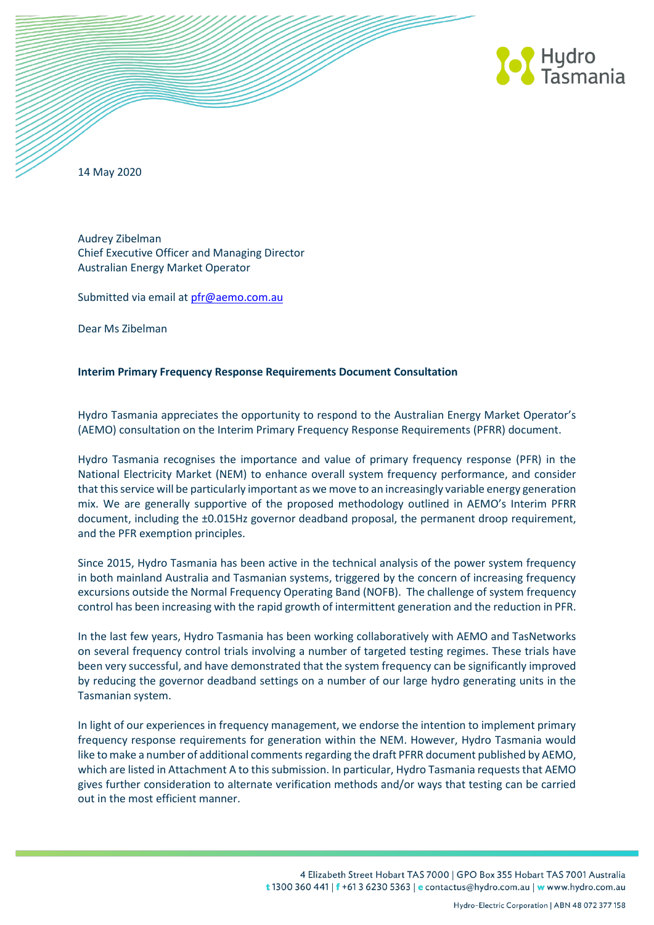

14 May 2020

Audrey Zibelman Chief Executive Officer and Managing Director Australian Energy Market Operator

Submitted via email a[t pfr@aemo.com.au](mailto:pfr@aemo.com.au)

Dear Ms Zibelman

## **Interim Primary Frequency Response Requirements Document Consultation**

Hydro Tasmania appreciates the opportunity to respond to the Australian Energy Market Operator's (AEMO) consultation on the Interim Primary Frequency Response Requirements (PFRR) document.

Hydro Tasmania recognises the importance and value of primary frequency response (PFR) in the National Electricity Market (NEM) to enhance overall system frequency performance, and consider that this service will be particularly important as we move to an increasingly variable energy generation mix. We are generally supportive of the proposed methodology outlined in AEMO's Interim PFRR document, including the ±0.015Hz governor deadband proposal, the permanent droop requirement, and the PFR exemption principles.

Since 2015, Hydro Tasmania has been active in the technical analysis of the power system frequency in both mainland Australia and Tasmanian systems, triggered by the concern of increasing frequency excursions outside the Normal Frequency Operating Band (NOFB). The challenge of system frequency control has been increasing with the rapid growth of intermittent generation and the reduction in PFR.

In the last few years, Hydro Tasmania has been working collaboratively with AEMO and TasNetworks on several frequency control trials involving a number of targeted testing regimes. These trials have been very successful, and have demonstrated that the system frequency can be significantly improved by reducing the governor deadband settings on a number of our large hydro generating units in the Tasmanian system.

In light of our experiences in frequency management, we endorse the intention to implement primary frequency response requirements for generation within the NEM. However, Hydro Tasmania would like to make a number of additional comments regarding the draft PFRR document published by AEMO, which are listed in Attachment A to this submission. In particular, Hydro Tasmania requests that AEMO gives further consideration to alternate verification methods and/or ways that testing can be carried out in the most efficient manner.

> 4 Elizabeth Street Hobart TAS 7000 | GPO Box 355 Hobart TAS 7001 Australia t 1300 360 441 | f +61 3 6230 5363 | e contactus@hydro.com.au | w www.hydro.com.au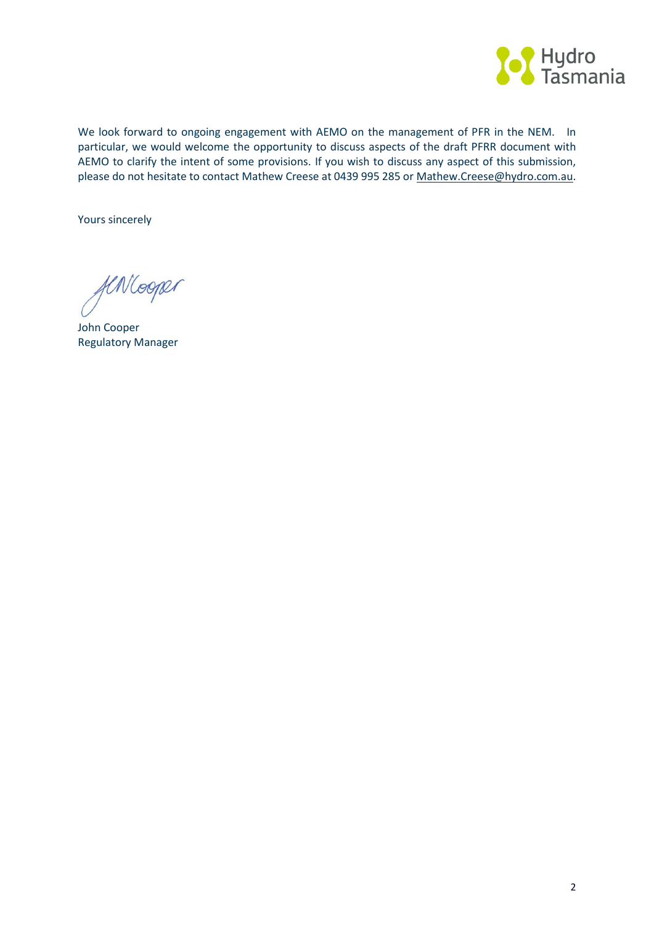

We look forward to ongoing engagement with AEMO on the management of PFR in the NEM. In particular, we would welcome the opportunity to discuss aspects of the draft PFRR document with AEMO to clarify the intent of some provisions. If you wish to discuss any aspect of this submission, please do not hesitate to contact Mathew Creese at 0439 995 285 or [Mathew.Creese@hydro.com.au.](mailto:Mathew.Creese@hydro.com.au)

Yours sincerely

flNlooper

John Cooper Regulatory Manager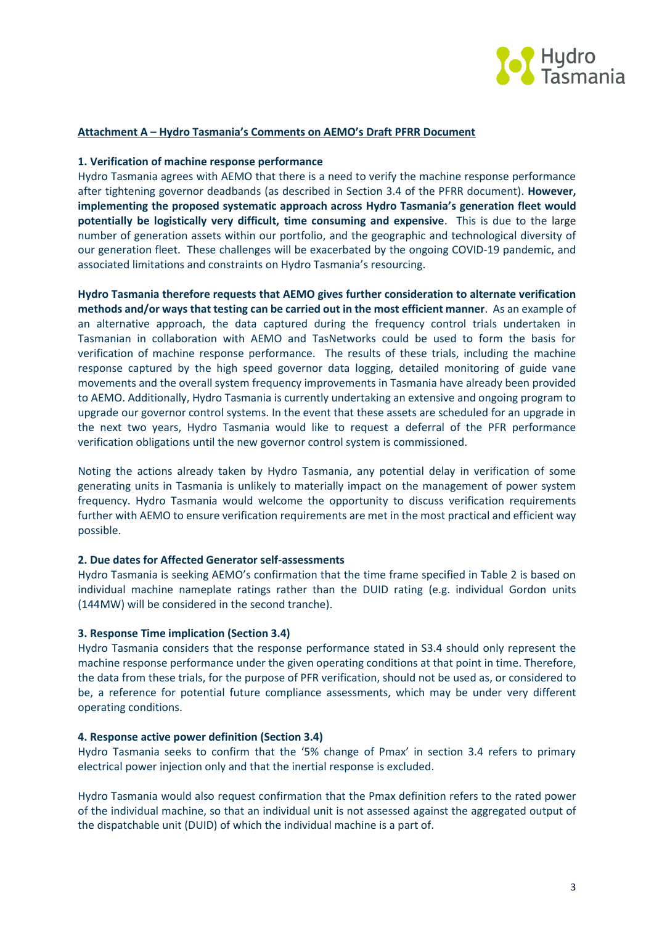

## **Attachment A – Hydro Tasmania's Comments on AEMO's Draft PFRR Document**

#### **1. Verification of machine response performance**

Hydro Tasmania agrees with AEMO that there is a need to verify the machine response performance after tightening governor deadbands (as described in Section 3.4 of the PFRR document). **However, implementing the proposed systematic approach across Hydro Tasmania's generation fleet would potentially be logistically very difficult, time consuming and expensive**. This is due to the large number of generation assets within our portfolio, and the geographic and technological diversity of our generation fleet. These challenges will be exacerbated by the ongoing COVID-19 pandemic, and associated limitations and constraints on Hydro Tasmania's resourcing.

**Hydro Tasmania therefore requests that AEMO gives further consideration to alternate verification methods and/or ways that testing can be carried out in the most efficient manner**. As an example of an alternative approach, the data captured during the frequency control trials undertaken in Tasmanian in collaboration with AEMO and TasNetworks could be used to form the basis for verification of machine response performance. The results of these trials, including the machine response captured by the high speed governor data logging, detailed monitoring of guide vane movements and the overall system frequency improvements in Tasmania have already been provided to AEMO. Additionally, Hydro Tasmania is currently undertaking an extensive and ongoing program to upgrade our governor control systems. In the event that these assets are scheduled for an upgrade in the next two years, Hydro Tasmania would like to request a deferral of the PFR performance verification obligations until the new governor control system is commissioned.

Noting the actions already taken by Hydro Tasmania, any potential delay in verification of some generating units in Tasmania is unlikely to materially impact on the management of power system frequency. Hydro Tasmania would welcome the opportunity to discuss verification requirements further with AEMO to ensure verification requirements are met in the most practical and efficient way possible.

#### **2. Due dates for Affected Generator self-assessments**

Hydro Tasmania is seeking AEMO's confirmation that the time frame specified in Table 2 is based on individual machine nameplate ratings rather than the DUID rating (e.g. individual Gordon units (144MW) will be considered in the second tranche).

## **3. Response Time implication (Section 3.4)**

Hydro Tasmania considers that the response performance stated in S3.4 should only represent the machine response performance under the given operating conditions at that point in time. Therefore, the data from these trials, for the purpose of PFR verification, should not be used as, or considered to be, a reference for potential future compliance assessments, which may be under very different operating conditions.

#### **4. Response active power definition (Section 3.4)**

Hydro Tasmania seeks to confirm that the '5% change of Pmax' in section 3.4 refers to primary electrical power injection only and that the inertial response is excluded.

Hydro Tasmania would also request confirmation that the Pmax definition refers to the rated power of the individual machine, so that an individual unit is not assessed against the aggregated output of the dispatchable unit (DUID) of which the individual machine is a part of.